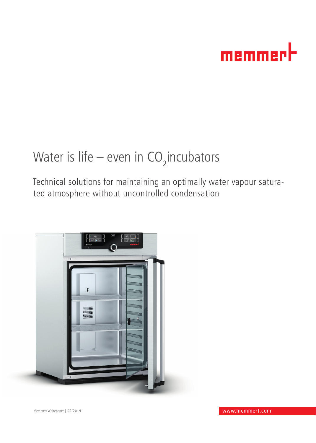# memmerh

# Water is life – even in  $\mathrm{CO}_2$ incubators

Technical solutions for maintaining an optimally water vapour saturated atmosphere without uncontrolled condensation

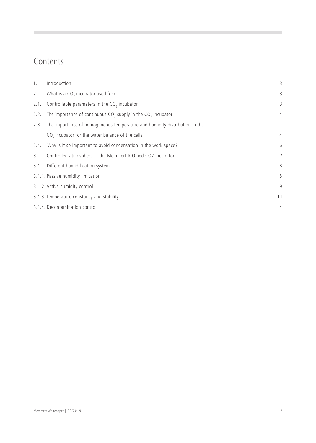### Contents

 $\sim$ 

| 1.   | Introduction                                                               | 3              |
|------|----------------------------------------------------------------------------|----------------|
| 2.   | What is a $CO2$ incubator used for?                                        | 3              |
| 2.1. | Controllable parameters in the CO <sub>2</sub> incubator                   | 3              |
| 2.2. | The importance of continuous $CO2$ supply in the $CO2$ incubator           | $\overline{4}$ |
| 2.3. | The importance of homogeneous temperature and humidity distribution in the |                |
|      | CO <sub>2</sub> incubator for the water balance of the cells               | 4              |
| 2.4. | Why is it so important to avoid condensation in the work space?            | 6              |
| 3.   | Controlled atmosphere in the Memmert ICOmed CO2 incubator                  | 7              |
| 3.1. | Different humidification system                                            | 8              |
|      | 3.1.1. Passive humidity limitation                                         | 8              |
|      | 3.1.2. Active humidity control                                             | 9              |
|      | 3.1.3. Temperature constancy and stability                                 | 11             |
|      | 3.1.4. Decontamination control                                             | 14             |
|      |                                                                            |                |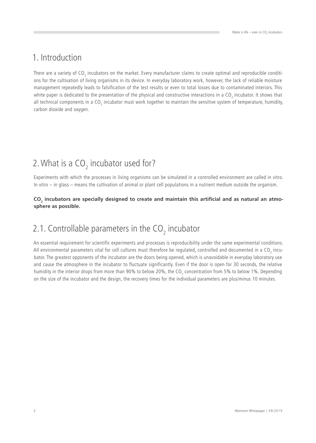## 1. Introduction

There are a variety of CO<sub>2</sub> incubators on the market. Every manufacturer claims to create optimal and reproducible conditions for the cultivation of living organisms in its device. In everyday laboratory work, however, the lack of reliable moisture management repeatedly leads to falsification of the test results or even to total losses due to contaminated interiors. This white paper is dedicated to the presentation of the physical and constructive interactions in a CO<sub>2</sub> incubator. It shows that all technical components in a CO<sub>2</sub> incubator must work together to maintain the sensitive system of temperature, humidity, carbon dioxide and oxygen.

# 2. What is a  $CO<sub>2</sub>$  incubator used for?

Experiments with which the processes in living organisms can be simulated in a controlled environment are called in vitro. In vitro – in glass – means the cultivation of animal or plant cell populations in a nutrient medium outside the organism.

#### CO<sub>2</sub> incubators are specially designed to create and maintain this artificial and as natural an atmo**sphere as possible.**

# 2.1. Controllable parameters in the  $CO<sub>2</sub>$  incubator

An essential requirement for scientific experiments and processes is reproducibility under the same experimental conditions. All environmental parameters vital for cell cultures must therefore be regulated, controlled and documented in a CO<sub>2</sub> incubator. The greatest opponents of the incubator are the doors being opened, which is unavoidable in everyday laboratory use and cause the atmosphere in the incubator to fluctuate significantly. Even if the door is open for 30 seconds, the relative humidity in the interior drops from more than 90% to below 20%, the CO<sub>2</sub> concentration from 5% to below 1%. Depending on the size of the incubator and the design, the recovery times for the individual parameters are plus/minus 10 minutes.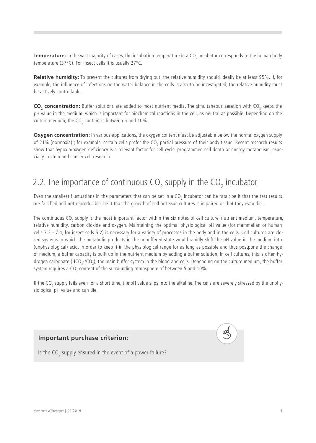$\bm{\tau}$ emperature: In the vast majority of cases, the incubation temperature in a CO<sub>2</sub> incubator corresponds to the human body temperature (37°C). For insect cells it is usually 27°C.

**Relative humidity:** To prevent the cultures from drying out, the relative humidity should ideally be at least 95%. If, for example, the influence of infections on the water balance in the cells is also to be investigated, the relative humidity must be actively controllable.

**CO<sub>2</sub> concentration:** Buffer solutions are added to most nutrient media. The simultaneous aeration with CO<sub>2</sub> keeps the pH value in the medium, which is important for biochemical reactions in the cell, as neutral as possible. Depending on the culture medium, the CO<sub>2</sub> content is between 5 and 10%.

**Oxygen concentration:** In various applications, the oxygen content must be adjustable below the normal oxygen supply of 21% (normoxia) ; for example, certain cells prefer the CO<sub>2</sub> partial pressure of their body tissue. Recent research results show that hypoxia/oxygen deficiency is a relevant factor for cell cycle, programmed cell death or energy metabolism, especially in stem and cancer cell research.

# 2.2. The importance of continuous  $CO_2$  supply in the  $CO_2$  incubator

Even the smallest fluctuations in the parameters that can be set in a CO<sub>2</sub> incubator can be fatal; be it that the test results are falsified and not reproducible, be it that the growth of cell or tissue cultures is impaired or that they even die.

The continuous CO<sub>2</sub> supply is the most important factor within the six notes of cell culture, nutrient medium, temperature, relative humidity, carbon dioxide and oxygen. Maintaining the optimal physiological pH value (for mammalian or human cells 7.2 - 7.4; for insect cells 6.2) is necessary for a variety of processes in the body and in the cells. Cell cultures are closed systems in which the metabolic products in the unbuffered state would rapidly shift the pH value in the medium into (unphysiological) acid. In order to keep it in the physiological range for as long as possible and thus postpone the change of medium, a buffer capacity is built up in the nutrient medium by adding a buffer solution. In cell cultures, this is often hydrogen carbonate (HCO<sub>3</sub>-/CO<sub>2</sub>), the main buffer system in the blood and cells. Depending on the culture medium, the buffer system requires a CO<sub>2</sub> content of the surrounding atmosphere of between 5 and 10%.

If the CO<sub>2</sub> supply fails even for a short time, the pH value slips into the alkaline. The cells are severely stressed by the unphysiological pH value and can die.

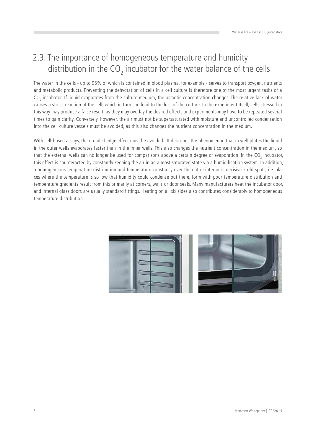## 2.3. The importance of homogeneous temperature and humidity distribution in the CO<sub>2</sub> incubator for the water balance of the cells

The water in the cells - up to 95% of which is contained in blood plasma, for example - serves to transport oxygen, nutrients and metabolic products. Preventing the dehydration of cells in a cell culture is therefore one of the most urgent tasks of a  $CO_2$  incubator. If liquid evaporates from the culture medium, the osmotic concentration changes. The relative lack of water causes a stress reaction of the cell, which in turn can lead to the loss of the culture. In the experiment itself, cells stressed in this way may produce a false result, as they may overlay the desired effects and experiments may have to be repeated several times to gain clarity. Conversely, however, the air must not be supersaturated with moisture and uncontrolled condensation into the cell culture vessels must be avoided, as this also changes the nutrient concentration in the medium.

With cell-based assays, the dreaded edge effect must be avoided . It describes the phenomenon that in well plates the liquid in the outer wells evaporates faster than in the inner wells. This also changes the nutrient concentration in the medium, so that the external wells can no longer be used for comparisons above a certain degree of evaporation. In the CO<sub>2</sub> incubator, this effect is counteracted by constantly keeping the air in an almost saturated state via a humidification system. In addition, a homogeneous temperature distribution and temperature constancy over the entire interior is decisive. Cold spots, i.e. places where the temperature is so low that humidity could condense out there, form with poor temperature distribution and temperature gradients result from this primarily at corners, walls or door seals. Many manufacturers heat the incubator door, and internal glass doors are usually standard fittings. Heating on all six sides also contributes considerably to homogeneous temperature distribution.

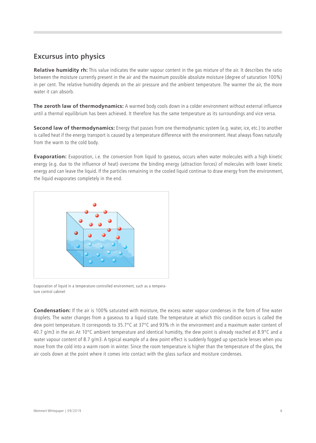#### **Excursus into physics**

**Relative humidity rh:** This value indicates the water vapour content in the gas mixture of the air. It describes the ratio between the moisture currently present in the air and the maximum possible absolute moisture (degree of saturation 100%) in per cent. The relative humidity depends on the air pressure and the ambient temperature. The warmer the air, the more water it can absorb.

**The zeroth law of thermodynamics:** A warmed body cools down in a colder environment without external influence until a thermal equilibrium has been achieved. It therefore has the same temperature as its surroundings and vice versa.

**Second law of thermodynamics:** Energy that passes from one thermodynamic system (e.g. water, ice, etc.) to another is called heat if the energy transport is caused by a temperature difference with the environment. Heat always flows naturally from the warm to the cold body.

**Evaporation:** Evaporation, i.e. the conversion from liquid to gaseous, occurs when water molecules with a high kinetic energy (e.g. due to the influence of heat) overcome the binding energy (attraction forces) of molecules with lower kinetic energy and can leave the liquid. If the particles remaining in the cooled liquid continue to draw energy from the environment, the liquid evaporates completely in the end.



Evaporation of liquid in a temperature-controlled environment, such as a temperature control cabinet

**Condensation:** If the air is 100% saturated with moisture, the excess water vapour condenses in the form of fine water droplets. The water changes from a gaseous to a liquid state. The temperature at which this condition occurs is called the dew point temperature. It corresponds to 35.7°C at 37°C and 93% rh in the environment and a maximum water content of 40.7 g/m3 in the air. At 10 $^{\circ}$ C ambient temperature and identical humidity, the dew point is already reached at 8.9 $^{\circ}$ C and a water vapour content of 8.7 g/m3. A typical example of a dew point effect is suddenly fogged up spectacle lenses when you move from the cold into a warm room in winter. Since the room temperature is higher than the temperature of the glass, the air cools down at the point where it comes into contact with the glass surface and moisture condenses.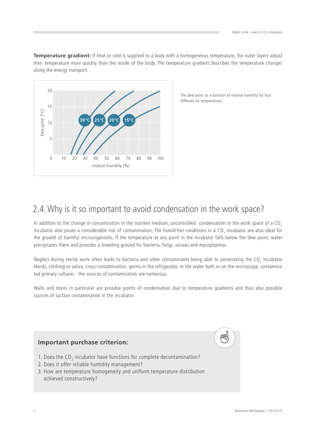**Temperature gradient:** If heat or cold is supplied to a body with a homogeneous temperature, the outer layers adjust their temperature more quickly than the inside of the body. The temperature gradient describes the temperature changes along the energy transport.



The dew point as a function of relative humidity for four different air temperatures.

## 2.4. Why is it so important to avoid condensation in the work space?

In addition to the change in concentration in the nutrient medium, uncontrolled condensation in the work space of a  $CO<sub>2</sub>$ incubator also poses a considerable risk of contamination. The humid-hot conditions in a CO $_{_2}$  incubator are also ideal for the growth of harmful microorganisms. If the temperature at any point in the incubator falls below the dew point, water precipitates there and provides a breeding ground for bacteria, fungi, viruses and mycoplasmas.

Neglect during sterile work often leads to bacteria and other contaminants being able to penetrating the CO<sub>2</sub> incubator. Hands, clothing or saliva, cross-contamination, germs in the refrigerator, in the water bath or on the microscope, contaminated primary cultures - the sources of contamination are numerous.

Walls and doors in particular are possible points of condensation due to temperature gradients and thus also possible sources of surface contamination in the incubator.

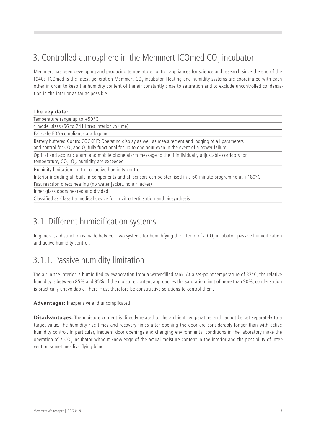# 3. Controlled atmosphere in the Memmert ICOmed CO<sub>2</sub> incubator

Memmert has been developing and producing temperature control appliances for science and research since the end of the 1940s. ICOmed is the latest generation Memmert CO<sub>2</sub> incubator. Heating and humidity systems are coordinated with each other in order to keep the humidity content of the air constantly close to saturation and to exclude uncontrolled condensation in the interior as far as possible.

| The key data: |  |  |
|---------------|--|--|
|---------------|--|--|

Temperature range up to  $+50^{\circ}$ C

4 model sizes (56 to 241 litres interior volume)

Fail-safe FDA-compliant data logging

Battery buffered ControlCOCKPIT: Operating display as well as measurement and logging of all parameters and control for CO<sub>2</sub> and O<sub>2</sub> fully functional for up to one hour even in the event of a power failure

Optical and acoustic alarm and mobile phone alarm message to the if individually adjustable corridors for temperature, CO<sub>2</sub>, O<sub>2</sub>, humidity are exceeded

Humidity limitation control or active humidity control

Interior including all built-in components and all sensors can be sterilised in a 60-minute programme at +180°C

Fast reaction direct heating (no water jacket, no air jacket)

Inner glass doors heated and divided

Classified as Class IIa medical device for in vitro fertilisation and biosynthesis

#### 3.1. Different humidification systems

In general, a distinction is made between two systems for humidifying the interior of a CO<sub>2</sub> incubator: passive humidification and active humidity control.

## 3.1.1. Passive humidity limitation

The air in the interior is humidified by evaporation from a water-filled tank. At a set-point temperature of  $37^{\circ}$ C, the relative humidity is between 85% and 95%. If the moisture content approaches the saturation limit of more than 90%, condensation is practically unavoidable. There must therefore be constructive solutions to control them.

#### **Advantages:** inexpensive and uncomplicated

**Disadvantages:** The moisture content is directly related to the ambient temperature and cannot be set separately to a target value. The humidity rise times and recovery times after opening the door are considerably longer than with active humidity control. In particular, frequent door openings and changing environmental conditions in the laboratory make the operation of a CO<sub>2</sub> incubator without knowledge of the actual moisture content in the interior and the possibility of intervention sometimes like flying blind.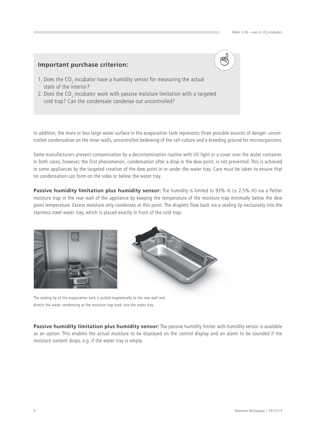#### **Important purchase criterion:**

- 1. Does the CO<sub>2</sub> incubator have a humidity sensor for measuring the actual state of the interior?
- 2. Does the CO<sub>2</sub> incubator work with passive moisture limitation with a targeted cold trap? Can the condensate condense out uncontrolled?

In addition, the more or less large water surface in the evaporation tank represents three possible sources of danger: uncontrolled condensation on the inner walls, uncontrolled bedewing of the cell culture and a breeding ground for microorganisms.

Some manufacturers prevent contamination by a decontamination routine with UV light or a cover over the water container. In both cases, however, the first phenomenon, condensation after a drop in the dew point, is not prevented. This is achieved in some appliances by the targeted creation of the dew point in or under the water tray. Care must be taken to ensure that no condensation can form on the sides or below the water tray.

**Passive humidity limitation plus humidity sensor:** The humidity is limited to 93% rh (± 2.5% rh) via a Peltier moisture trap in the rear wall of the appliance by keeping the temperature of the moisture trap minimally below the dew point temperature. Excess moisture only condenses at this point. The droplets flow back via a sealing lip exclusively into the stainless steel water tray, which is placed exactly in front of the cold trap.





The sealing lip of the evaporation tank is pulled magnetically to the rear wall and directs the water condensing at the moisture trap back into the water tray.

**Passive humidity limitation plus humidity sensor:** The passive humidity limiter with humidity sensor is available as an option. This enables the actual moisture to be displayed on the control display and an alarm to be sounded if the moisture content drops, e.g. if the water tray is empty.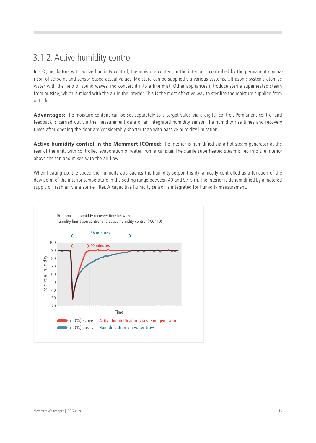## 3.1.2. Active humidity control

In CO<sub>2</sub> incubators with active humidity control, the moisture content in the interior is controlled by the permanent comparison of setpoint and sensor-based actual values. Moisture can be supplied via various systems. Ultrasonic systems atomise water with the help of sound waves and convert it into a fine mist. Other appliances introduce sterile superheated steam from outside, which is mixed with the air in the interior. This is the most effective way to sterilise the moisture supplied from outside.

**Advantages:** The moisture content can be set separately to a target value via a digital control. Permanent control and feedback is carried out via the measurement data of an integrated humidity sensor. The humidity rise times and recovery times after opening the door are considerably shorter than with passive humidity limitation.

**Active humidity control in the Memmert ICOmed:** The interior is humidified via a hot steam generator at the rear of the unit, with controlled evaporation of water from a canister. The sterile superheated steam is fed into the interior above the fan and mixed with the air flow.

When heating up, the speed the humidity approaches the humidity setpoint is dynamically controlled as a function of the dew point of the interior temperature in the setting range between 40 and 97% rh. The interior is dehumidified by a metered supply of fresh air via a sterile filter. A capacitive humidity sensor is integrated for humidity measurement.

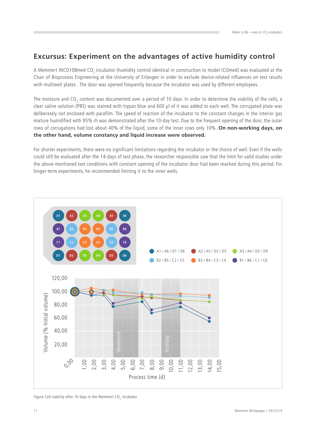#### **Excursus: Experiment on the advantages of active humidity control**

A Memmert INCO108med CO<sub>2</sub> incubator (humidity control identical in construction to model ICOmed) was evaluated at the Chair of Bioprocess Engineering at the University of Erlangen in order to exclude device-related influences on test results with multiwell plates . The door was opened frequently because the incubator was used by different employees.

The moisture and CO<sub>2</sub> content was documented over a period of 10 days. In order to determine the viability of the cells, a clear saline solution (PBS) was stained with trypan blue and 600 µl of it was added to each well. The corrugated plate was deliberately not enclosed with parafilm. The speed of reaction of the incubator to the constant changes in the interior gas mixture humidified with 95% rh was demonstrated after the 10-day test. Due to the frequent opening of the door, the outer rows of corrugations had lost about 40% of the liquid, some of the inner rows only 10%. **On non-working days, on the other hand, volume constancy and liquid increase were observed.**

For shorter experiments, there were no significant limitations regarding the incubator or the choice of well. Even if the wells could still be evaluated after the 14-days of test phase, the researcher responsible saw that the limit for valid studies under the above-mentioned test conditions with constant opening of the incubator door had been reached during this period. For longer-term experiments, he recommended limiting it to the inner wells.



Figure Cell viability after 10 days in the Memmert CO<sub>2</sub> incubator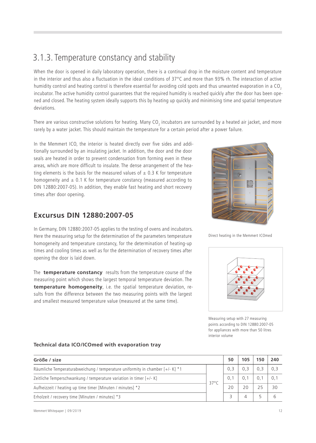## 3.1.3. Temperature constancy and stability

When the door is opened in daily laboratory operation, there is a continual drop in the moisture content and temperature in the interior and thus also a fluctuation in the ideal conditions of 37°C and more than 93% rh. The interaction of active humidity control and heating control is therefore essential for avoiding cold spots and thus unwanted evaporation in a CO<sub>2</sub> incubator. The active humidity control guarantees that the required humidity is reached quickly after the door has been opened and closed. The heating system ideally supports this by heating up quickly and minimising time and spatial temperature deviations.

There are various constructive solutions for heating. Many CO $_{_2}$  incubators are surrounded by a heated air jacket, and more rarely by a water jacket. This should maintain the temperature for a certain period after a power failure.

In the Memmert ICO, the interior is heated directly over five sides and additionally surrounded by an insulating jacket. In addition, the door and the door seals are heated in order to prevent condensation from forming even in these areas, which are more difficult to insulate. The dense arrangement of the heating elements is the basis for the measured values of  $\pm$  0.3 K for temperature homogeneity and  $\pm$  0.1 K for temperature constancy (measured according to DIN 12880:2007-05). In addition, they enable fast heating and short recovery times after door opening.

#### **Excursus DIN 12880:2007-05**

In Germany, DIN 12880:2007-05 applies to the testing of ovens and incubators. Here the measuring setup for the determination of the parameters temperature homogeneity and temperature constancy, for the determination of heating-up times and cooling times as well as for the determination of recovery times after opening the door is laid down.

The **temperature constancy** results from the temperature course of the measuring point which shows the largest temporal temperature deviation. The **temperature homogeneity**, i.e. the spatial temperature deviation, results from the difference between the two measuring points with the largest and smallest measured temperature value (measured at the same time).



Direct heating in the Memmert ICOmed



Measuring setup with 27 measuring points according to DIN 12880:2007-05 for appliances with more than 50 litres interior volume

#### **Technical data ICO/ICOmed with evaporation tray**

| Größe / size                                                                  |  | 50  | 105 | 150 | 240 |
|-------------------------------------------------------------------------------|--|-----|-----|-----|-----|
| Räumliche Temperaturabweichung / temperature uniformity in chamber [+/- K] *1 |  | 0.3 |     | 0.3 | 0.3 |
| Zeitliche Temperschwankung / temperature variation in timer $[+/K]$           |  |     |     |     | 0.1 |
| $37^{\circ}$ C<br>Aufheizzeit / heating up time timer [Minuten / minutes] *2  |  | 20  | 20  | 25  | 30  |
| Erholzeit / recovery time [Minuten / minutes] *3                              |  |     |     |     |     |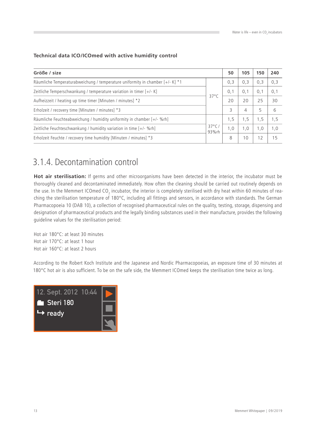| Technical data ICO/ICOmed with active humidity control |  |  |  |
|--------------------------------------------------------|--|--|--|
|--------------------------------------------------------|--|--|--|

| Größe / size                                                                                                                                                                                            |  | 50  | 105            | 150 | 240 |
|---------------------------------------------------------------------------------------------------------------------------------------------------------------------------------------------------------|--|-----|----------------|-----|-----|
| Räumliche Temperaturabweichung / temperature uniformity in chamber [+/- K] *1                                                                                                                           |  | 0,3 | 0,3            | 0,3 | 0,3 |
| Zeitliche Temperschwankung / temperature variation in timer [+/- K]<br>$37^{\circ}$ C<br>Aufheizzeit / heating up time timer [Minuten / minutes] *2<br>Erholzeit / recovery time [Minuten / minutes] *3 |  | 0.1 | 0,1            | 0,1 | 0,1 |
|                                                                                                                                                                                                         |  | 20  | 20             | 25  | 30  |
|                                                                                                                                                                                                         |  | 3   | $\overline{4}$ | 5   | 6   |
| Räumliche Feuchteabweichung / humidity uniformity in chamber $[+/$ - %rh                                                                                                                                |  | 1.5 | 1,5            | 1,5 | 1,5 |
| $37^{\circ}$ C<br>Zeitliche Feuchteschwankung / humidity variation in time $[+/$ - %rh]<br>93%rh                                                                                                        |  | 1.0 | 1,0            | 1,0 | 1,0 |
| Erholzeit Feuchte / recovery time humidity [Minuten / minutes] *3                                                                                                                                       |  | 8   | 10             | 12  | 15  |

## 3.1.4. Decontamination control

**Hot air sterilisation:** If germs and other microorganisms have been detected in the interior, the incubator must be thoroughly cleaned and decontaminated immediately. How often the cleaning should be carried out routinely depends on the use. In the Memmert ICOmed CO<sub>2</sub> incubator, the interior is completely sterilised with dry heat within 60 minutes of reaching the sterilisation temperature of 180°C, including all fittings and sensors, in accordance with standards. The German Pharmacopoeia 10 (DAB 10), a collection of recognised pharmaceutical rules on the quality, testing, storage, dispensing and designation of pharmaceutical products and the legally binding substances used in their manufacture, provides the following guideline values for the sterilisation period:

Hot air 180°C: at least 30 minutes Hot air 170°C: at least 1 hour Hot air 160°C: at least 2 hours

According to the Robert Koch Institute and the Japanese and Nordic Pharmacopoeias, an exposure time of 30 minutes at 180°C hot air is also sufficient. To be on the safe side, the Memmert ICOmed keeps the sterilisation time twice as long.